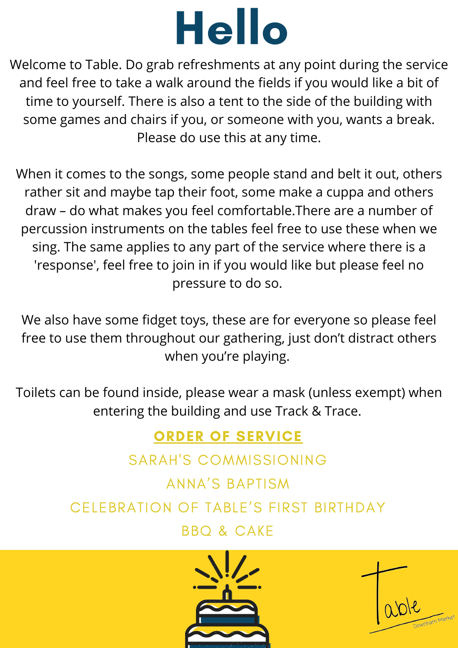# Hello

Welcome to Table. Do grab refreshments at any point during the service and feel free to take a walk around the fields if you would like a bit of time to yourself. There is also a tent to the side of the building with some games and chairs if you, or someone with you, wants a break. Please do use this at any time.

When it comes to the songs, some people stand and belt it out, others rather sit and maybe tap their foot, some make a cuppa and others draw – do what makes you feel comfortable.There are a number of percussion instruments on the tables feel free to use these when we sing. The same applies to any part of the service where there is a 'response', feel free to join in if you would like but please feel no pressure to do so.

We also have some fidget toys, these are for everyone so please feel free to use them throughout our gathering, just don't distract others when you're playing.

Toilets can be found inside, please wear a mask (unless exempt) when entering the building and use Track & Trace.

#### ORDER OF SERVICE

SARAH'S COMMISSIONING

ANNA'S BAPTISM CELEBRATION OF TABLE'S FIRST BIRTHDAY

BBQ & CAKE



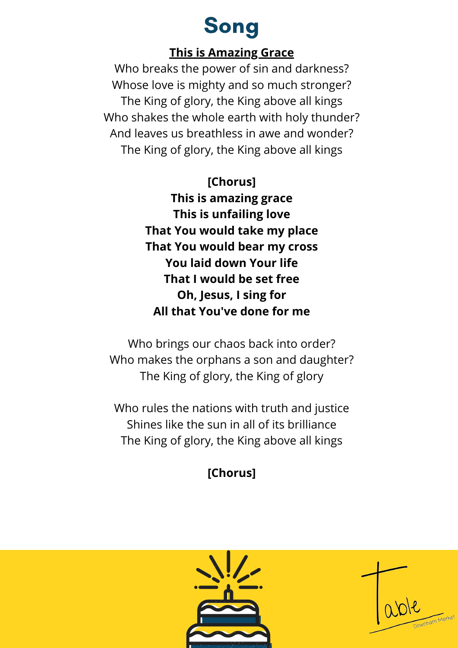### Song

#### **This is Amazing Grace**

Who breaks the power of sin and darkness? Whose love is mighty and so much stronger? The King of glory, the King above all kings Who shakes the whole earth with holy thunder? And leaves us breathless in awe and wonder? The King of glory, the King above all kings

> **[Chorus] This is amazing grace This is unfailing love That You would take my place That You would bear my cross You laid down Your life That I would be set free Oh, Jesus, I sing for All that You've done for me**

Who brings our chaos back into order? Who makes the orphans a son and daughter? The King of glory, the King of glory

Who rules the nations with truth and justice Shines like the sun in all of its brilliance The King of glory, the King above all kings



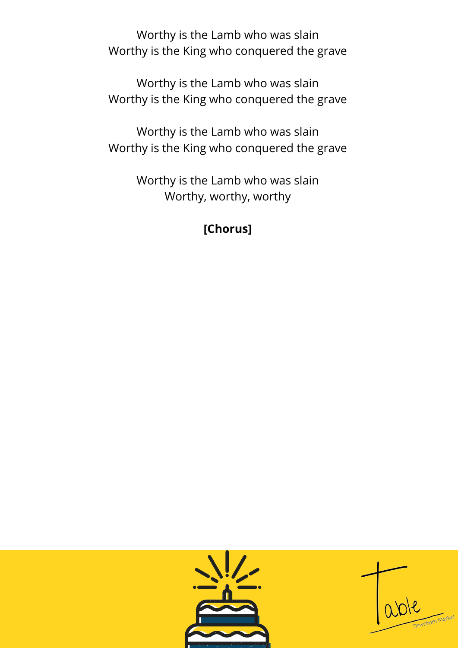Worthy is the Lamb who was slain Worthy is the King who conquered the grave

Worthy is the Lamb who was slain Worthy is the King who conquered the grave

Worthy is the Lamb who was slain Worthy is the King who conquered the grave

> Worthy is the Lamb who was slain Worthy, worthy, worthy



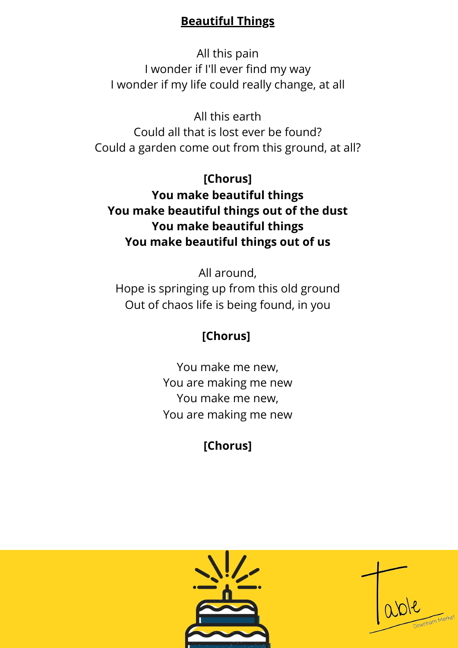#### **Beautiful Things**

All this pain I wonder if I'll ever find my way I wonder if my life could really change, at all

All this earth Could all that is lost ever be found? Could a garden come out from this ground, at all?

**[Chorus] You make beautiful things You make beautiful things out of the dust You make beautiful things You make beautiful things out of us**

All around, Hope is springing up from this old ground Out of chaos life is being found, in you

#### **[Chorus]**

You make me new, You are making me new You make me new, You are making me new



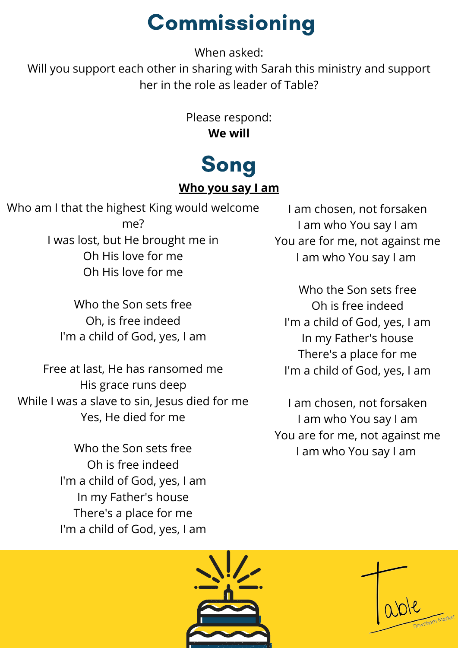### Commissioning

When asked:

Will you support each other in sharing with Sarah this ministry and support her in the role as leader of Table?

Please respond:

**We will**

## Song

#### **Who you say I am**

Who am I that the highest King would welcome me? I was lost, but He brought me in Oh His love for me Oh His love for me

> Who the Son sets free Oh, is free indeed I'm a child of God, yes, I am

Free at last, He has ransomed me His grace runs deep While I was a slave to sin, Jesus died for me Yes, He died for me

> Who the Son sets free Oh is free indeed I'm a child of God, yes, I am In my Father's house There's a place for me I'm a child of God, yes, I am

I am chosen, not forsaken I am who You say I am You are for me, not against me I am who You say I am

Who the Son sets free Oh is free indeed I'm a child of God, yes, I am In my Father's house There's a place for me I'm a child of God, yes, I am

I am chosen, not forsaken I am who You say I am You are for me, not against me I am who You say I am



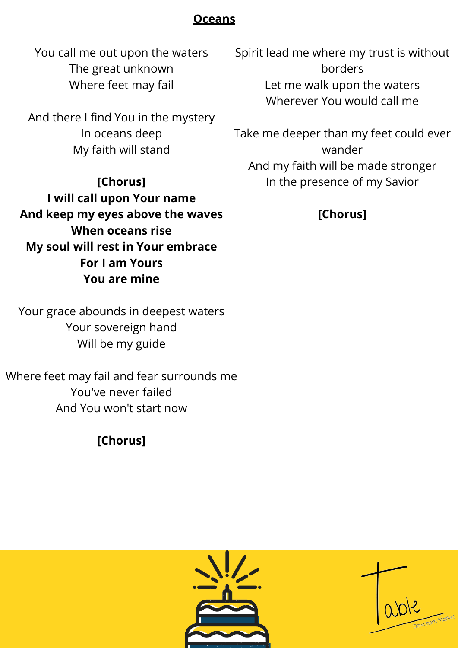#### **Oceans**

You call me out upon the waters The great unknown Where feet may fail

And there I find You in the mystery In oceans deep My faith will stand

**[Chorus] I will call upon Your name And keep my eyes above the waves When oceans rise My soul will rest in Your embrace For I am Yours You are mine**

Your grace abounds in deepest waters Your sovereign hand Will be my guide

Where feet may fail and fear surrounds me You've never failed And You won't start now

**[Chorus]**

Spirit lead me where my trust is without borders Let me walk upon the waters Wherever You would call me

Take me deeper than my feet could ever wander And my faith will be made stronger In the presence of my Savior



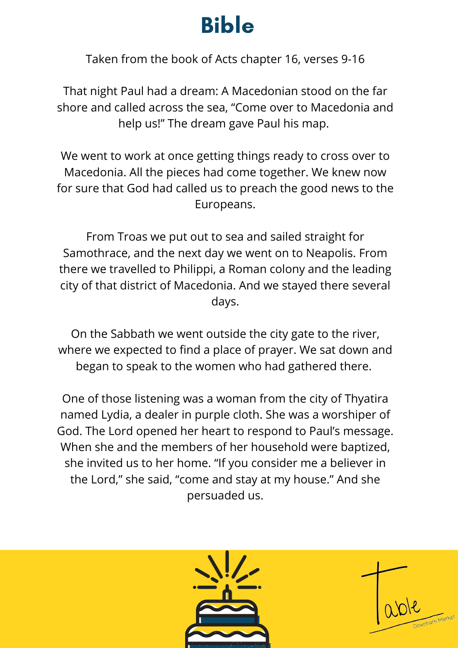# Bible

Taken from the book of Acts chapter 16, verses 9-16

That night Paul had a dream: A Macedonian stood on the far shore and called across the sea, "Come over to Macedonia and help us!" The dream gave Paul his map.

We went to work at once getting things ready to cross over to Macedonia. All the pieces had come together. We knew now for sure that God had called us to preach the good news to the Europeans.

From Troas we put out to sea and sailed straight for Samothrace, and the next day we went on to Neapolis. From there we travelled to Philippi, a Roman colony and the leading city of that district of Macedonia. And we stayed there several days.

On the Sabbath we went outside the city gate to the river, where we expected to find a place of prayer. We sat down and began to speak to the women who had gathered there.

One of those listening was a woman from the city of Thyatira named Lydia, a dealer in purple cloth. She was a worshiper of God. The Lord opened her heart to respond to Paul's message. When she and the members of her household were baptized, she invited us to her home. "If you consider me a believer in the Lord," she said, "come and stay at my house." And she persuaded us.



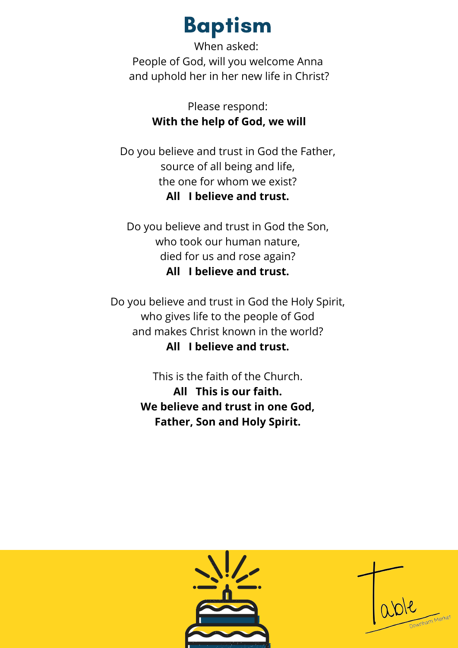### Baptism

When asked: People of God, will you welcome Anna and uphold her in her new life in Christ?

> Please respond: **With the help of God, we will**

Do you believe and trust in God the Father, source of all being and life, the one for whom we exist? **All I believe and trust.**

Do you believe and trust in God the Son, who took our human nature, died for us and rose again? **All I believe and trust.**

Do you believe and trust in God the Holy Spirit, who gives life to the people of God and makes Christ known in the world? **All I believe and trust.**

> This is the faith of the Church. **All This is our faith. We believe and trust in one God, Father, Son and Holy Spirit.**



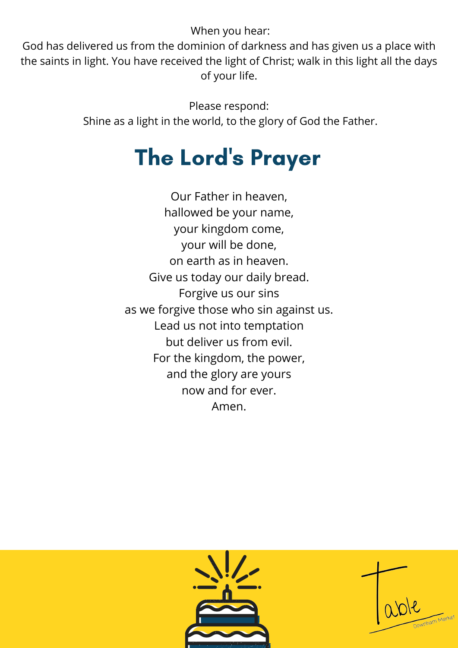#### When you hear:

God has delivered us from the dominion of darkness and has given us a place with the saints in light. You have received the light of Christ; walk in this light all the days of your life.

> Please respond: Shine as a light in the world, to the glory of God the Father.

# The Lord' s Prayer

Our Father in heaven, hallowed be your name, your kingdom come, your will be done, on earth as in heaven. Give us today our daily bread. Forgive us our sins as we forgive those who sin against us. Lead us not into temptation but deliver us from evil. For the kingdom, the power, and the glory are yours now and for ever. Amen.



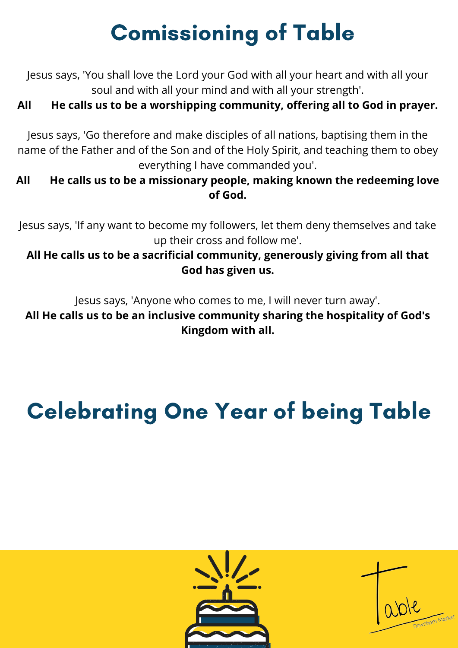# Comissioning of Table

Jesus says, 'You shall love the Lord your God with all your heart and with all your soul and with all your mind and with all your strength'.

#### **All He calls us to be a worshipping community, offering all to God in prayer.**

Jesus says, 'Go therefore and make disciples of all nations, baptising them in the name of the Father and of the Son and of the Holy Spirit, and teaching them to obey everything I have commanded you'.

**All He calls us to be a missionary people, making known the redeeming love of God.**

Jesus says, 'If any want to become my followers, let them deny themselves and take up their cross and follow me'.

**All He calls us to be a sacrificial community, generously giving from all that God has given us.**

Jesus says, 'Anyone who comes to me, I will never turn away'.

**All He calls us to be an inclusive community sharing the hospitality of God's Kingdom with all.**

# Celebrating One Year of being Table